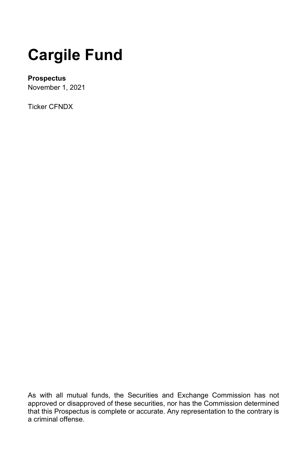# **Cargile Fund**

# **Prospectus**

November 1, 2021

Ticker CFNDX

As with all mutual funds, the Securities and Exchange Commission has not approved or disapproved of these securities, nor has the Commission determined that this Prospectus is complete or accurate. Any representation to the contrary is a criminal offense.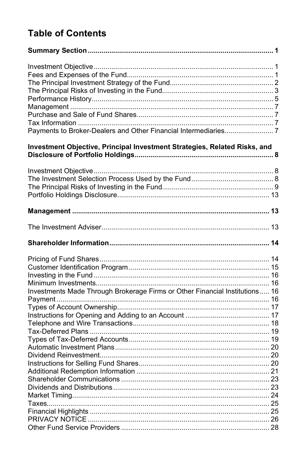# **Table of Contents**

| Payments to Broker-Dealers and Other Financial Intermediaries7              |  |
|-----------------------------------------------------------------------------|--|
| Investment Objective, Principal Investment Strategies, Related Risks, and   |  |
|                                                                             |  |
|                                                                             |  |
|                                                                             |  |
|                                                                             |  |
| Investments Made Through Brokerage Firms or Other Financial Institutions 16 |  |
|                                                                             |  |
|                                                                             |  |
|                                                                             |  |
|                                                                             |  |
|                                                                             |  |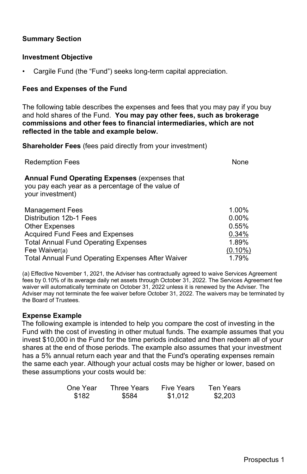# <span id="page-2-0"></span>**Summary Section**

#### <span id="page-2-1"></span>**Investment Objective**

• Cargile Fund (the "Fund") seeks long-term capital appreciation.

# <span id="page-2-2"></span>**Fees and Expenses of the Fund**

The following table describes the expenses and fees that you may pay if you buy and hold shares of the Fund. **You may pay other fees, such as brokerage commissions and other fees to financial intermediaries, which are not reflected in the table and example below.**

**Shareholder Fees** (fees paid directly from your investment)

| <b>Redemption Fees</b>                                                                                                        | None       |
|-------------------------------------------------------------------------------------------------------------------------------|------------|
| <b>Annual Fund Operating Expenses (expenses that</b><br>you pay each year as a percentage of the value of<br>your investment) |            |
| <b>Management Fees</b>                                                                                                        | 1.00%      |
| Distribution 12b-1 Fees                                                                                                       | $0.00\%$   |
| <b>Other Expenses</b>                                                                                                         | 0.55%      |
| Acquired Fund Fees and Expenses                                                                                               | 0.34%      |
| <b>Total Annual Fund Operating Expenses</b>                                                                                   | 1.89%      |
| Fee Waiver(a)                                                                                                                 | $(0.10\%)$ |
| Total Annual Fund Operating Expenses After Waiver                                                                             | 1.79%      |

(a) Effective November 1, 2021, the Adviser has contractually agreed to waive Services Agreement fees by 0.10% of its average daily net assets through October 31, 2022. The Services Agreement fee waiver will automatically terminate on October 31, 2022 unless it is renewed by the Adviser. The Adviser may not terminate the fee waiver before October 31, 2022. The waivers may be terminated by the Board of Trustees.

#### **Expense Example**

The following example is intended to help you compare the cost of investing in the Fund with the cost of investing in other mutual funds. The example assumes that you invest \$10,000 in the Fund for the time periods indicated and then redeem all of your shares at the end of those periods. The example also assumes that your investment has a 5% annual return each year and that the Fund's operating expenses remain the same each year. Although your actual costs may be higher or lower, based on these assumptions your costs would be:

| One Year | Three Years | <b>Five Years</b> | <b>Ten Years</b> |
|----------|-------------|-------------------|------------------|
| \$182    | \$584       | \$1,012           | \$2,203          |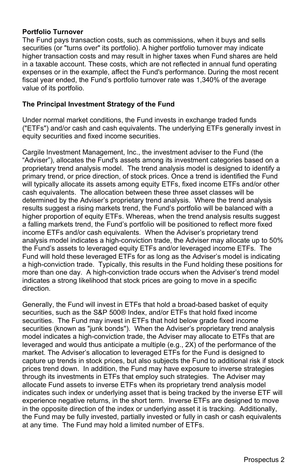#### **Portfolio Turnover**

The Fund pays transaction costs, such as commissions, when it buys and sells securities (or "turns over" its portfolio). A higher portfolio turnover may indicate higher transaction costs and may result in higher taxes when Fund shares are held in a taxable account. These costs, which are not reflected in annual fund operating expenses or in the example, affect the Fund's performance. During the most recent fiscal year ended, the Fund's portfolio turnover rate was 1,340% of the average value of its portfolio.

#### <span id="page-3-0"></span>**The Principal Investment Strategy of the Fund**

Under normal market conditions, the Fund invests in exchange traded funds ("ETFs") and/or cash and cash equivalents. The underlying ETFs generally invest in equity securities and fixed income securities.

Cargile Investment Management, Inc., the investment adviser to the Fund (the "Adviser"), allocates the Fund's assets among its investment categories based on a proprietary trend analysis model. The trend analysis model is designed to identify a primary trend, or price direction, of stock prices. Once a trend is identified the Fund will typically allocate its assets among equity ETFs, fixed income ETFs and/or other cash equivalents. The allocation between these three asset classes will be determined by the Adviser's proprietary trend analysis. Where the trend analysis results suggest a rising markets trend, the Fund's portfolio will be balanced with a higher proportion of equity ETFs. Whereas, when the trend analysis results suggest a falling markets trend, the Fund's portfolio will be positioned to reflect more fixed income ETFs and/or cash equivalents. When the Adviser's proprietary trend analysis model indicates a high-conviction trade, the Adviser may allocate up to 50% the Fund's assets to leveraged equity ETFs and/or leveraged income ETFs. The Fund will hold these leveraged ETFs for as long as the Adviser's model is indicating a high-conviction trade. Typically, this results in the Fund holding these positions for more than one day. A high-conviction trade occurs when the Adviser's trend model indicates a strong likelihood that stock prices are going to move in a specific direction.

Generally, the Fund will invest in ETFs that hold a broad-based basket of equity securities, such as the S&P 500® Index, and/or ETFs that hold fixed income securities. The Fund may invest in ETFs that hold below grade fixed income securities (known as "junk bonds"). When the Adviser's proprietary trend analysis model indicates a high-conviction trade, the Adviser may allocate to ETFs that are leveraged and would thus anticipate a multiple (e.g., 2X) of the performance of the market. The Adviser's allocation to leveraged ETFs for the Fund is designed to capture up trends in stock prices, but also subjects the Fund to additional risk if stock prices trend down. In addition, the Fund may have exposure to inverse strategies through its investments in ETFs that employ such strategies. The Adviser may allocate Fund assets to inverse ETFs when its proprietary trend analysis model indicates such index or underlying asset that is being tracked by the inverse ETF will experience negative returns, in the short term. Inverse ETFs are designed to move in the opposite direction of the index or underlying asset it is tracking. Additionally, the Fund may be fully invested, partially invested or fully in cash or cash equivalents at any time. The Fund may hold a limited number of ETFs.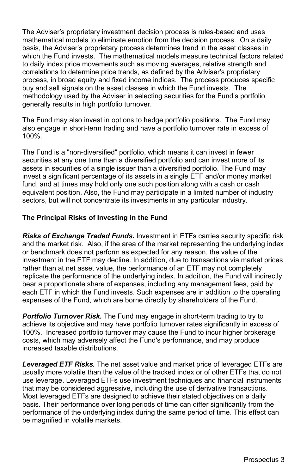The Adviser's proprietary investment decision process is rules-based and uses mathematical models to eliminate emotion from the decision process. On a daily basis, the Adviser's proprietary process determines trend in the asset classes in which the Fund invests. The mathematical models measure technical factors related to daily index price movements such as moving averages, relative strength and correlations to determine price trends, as defined by the Adviser's proprietary process, in broad equity and fixed income indices. The process produces specific buy and sell signals on the asset classes in which the Fund invests. The methodology used by the Adviser in selecting securities for the Fund's portfolio generally results in high portfolio turnover.

The Fund may also invest in options to hedge portfolio positions. The Fund may also engage in short-term trading and have a portfolio turnover rate in excess of 100%.

The Fund is a "non-diversified" portfolio, which means it can invest in fewer securities at any one time than a diversified portfolio and can invest more of its assets in securities of a single issuer than a diversified portfolio. The Fund may invest a significant percentage of its assets in a single ETF and/or money market fund, and at times may hold only one such position along with a cash or cash equivalent position. Also, the Fund may participate in a limited number of industry sectors, but will not concentrate its investments in any particular industry.

# <span id="page-4-0"></span>**The Principal Risks of Investing in the Fund**

*Risks of Exchange Traded Funds.* Investment in ETFs carries security specific risk and the market risk. Also, if the area of the market representing the underlying index or benchmark does not perform as expected for any reason, the value of the investment in the ETF may decline. In addition, due to transactions via market prices rather than at net asset value, the performance of an ETF may not completely replicate the performance of the underlying index. In addition, the Fund will indirectly bear a proportionate share of expenses, including any management fees, paid by each ETF in which the Fund invests. Such expenses are in addition to the operating expenses of the Fund, which are borne directly by shareholders of the Fund.

*Portfolio Turnover Risk.* The Fund may engage in short-term trading to try to achieve its objective and may have portfolio turnover rates significantly in excess of 100%. Increased portfolio turnover may cause the Fund to incur higher brokerage costs, which may adversely affect the Fund's performance, and may produce increased taxable distributions.

*Leveraged ETF Risks.* The net asset value and market price of leveraged ETFs are usually more volatile than the value of the tracked index or of other ETFs that do not use leverage. Leveraged ETFs use investment techniques and financial instruments that may be considered aggressive, including the use of derivative transactions. Most leveraged ETFs are designed to achieve their stated objectives on a daily basis. Their performance over long periods of time can differ significantly from the performance of the underlying index during the same period of time. This effect can be magnified in volatile markets.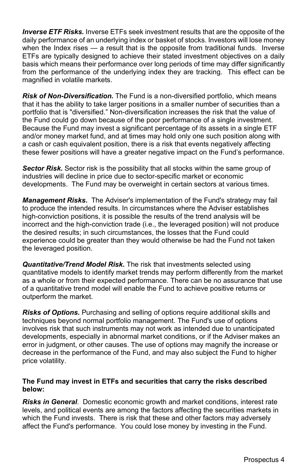*Inverse ETF Risks.* Inverse ETFs seek investment results that are the opposite of the daily performance of an underlying index or basket of stocks. Investors will lose money when the Index rises  $-$  a result that is the opposite from traditional funds. Inverse ETFs are typically designed to achieve their stated investment objectives on a daily basis which means their performance over long periods of time may differ significantly from the performance of the underlying index they are tracking. This effect can be magnified in volatile markets.

*Risk of Non-Diversification.* The Fund is a non-diversified portfolio, which means that it has the ability to take larger positions in a smaller number of securities than a portfolio that is "diversified." Non-diversification increases the risk that the value of the Fund could go down because of the poor performance of a single investment. Because the Fund may invest a significant percentage of its assets in a single ETF and/or money market fund, and at times may hold only one such position along with a cash or cash equivalent position, there is a risk that events negatively affecting these fewer positions will have a greater negative impact on the Fund's performance.

**Sector Risk.** Sector risk is the possibility that all stocks within the same group of industries will decline in price due to sector-specific market or economic developments. The Fund may be overweight in certain sectors at various times.

*Management Risks***.** The Adviser's implementation of the Fund's strategy may fail to produce the intended results. In circumstances where the Adviser establishes high-conviction positions, it is possible the results of the trend analysis will be incorrect and the high-conviction trade (i.e., the leveraged position) will not produce the desired results; in such circumstances, the losses that the Fund could experience could be greater than they would otherwise be had the Fund not taken the leveraged position.

*Quantitative/Trend Model Risk.* The risk that investments selected using quantitative models to identify market trends may perform differently from the market as a whole or from their expected performance. There can be no assurance that use of a quantitative trend model will enable the Fund to achieve positive returns or outperform the market.

*Risks of Options.* Purchasing and selling of options require additional skills and techniques beyond normal portfolio management. The Fund's use of options involves risk that such instruments may not work as intended due to unanticipated developments, especially in abnormal market conditions, or if the Adviser makes an error in judgment, or other causes. The use of options may magnify the increase or decrease in the performance of the Fund, and may also subject the Fund to higher price volatility.

#### **The Fund may invest in ETFs and securities that carry the risks described below:**

*Risks in General*. Domestic economic growth and market conditions, interest rate levels, and political events are among the factors affecting the securities markets in which the Fund invests. There is risk that these and other factors may adversely affect the Fund's performance. You could lose money by investing in the Fund.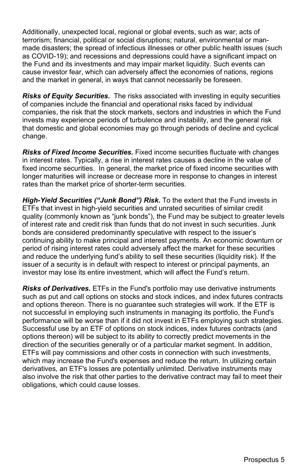Additionally, unexpected local, regional or global events, such as war; acts of terrorism; financial, political or social disruptions; natural, environmental or manmade disasters; the spread of infectious illnesses or other public health issues (such as COVID-19); and recessions and depressions could have a significant impact on the Fund and its investments and may impair market liquidity. Such events can cause investor fear, which can adversely affect the economies of nations, regions and the market in general, in ways that cannot necessarily be foreseen.

*Risks of Equity Securities.* The risks associated with investing in equity securities of companies include the financial and operational risks faced by individual companies, the risk that the stock markets, sectors and industries in which the Fund invests may experience periods of turbulence and instability, and the general risk that domestic and global economies may go through periods of decline and cyclical change.

*Risks of Fixed Income Securities.* Fixed income securities fluctuate with changes in interest rates. Typically, a rise in interest rates causes a decline in the value of fixed income securities. In general, the market price of fixed income securities with longer maturities will increase or decrease more in response to changes in interest rates than the market price of shorter-term securities.

*High-Yield Securities ("Junk Bond") Risk.* To the extent that the Fund invests in ETFs that invest in high-yield securities and unrated securities of similar credit quality (commonly known as "junk bonds"), the Fund may be subject to greater levels of interest rate and credit risk than funds that do not invest in such securities. Junk bonds are considered predominantly speculative with respect to the issuer's continuing ability to make principal and interest payments. An economic downturn or period of rising interest rates could adversely affect the market for these securities and reduce the underlying fund's ability to sell these securities (liquidity risk). If the issuer of a security is in default with respect to interest or principal payments, an investor may lose its entire investment, which will affect the Fund's return.

<span id="page-6-0"></span>*Risks of Derivatives.* ETFs in the Fund's portfolio may use derivative instruments such as put and call options on stocks and stock indices, and index futures contracts and options thereon. There is no guarantee such strategies will work. If the ETF is not successful in employing such instruments in managing its portfolio, the Fund's performance will be worse than if it did not invest in ETFs employing such strategies. Successful use by an ETF of options on stock indices, index futures contracts (and options thereon) will be subject to its ability to correctly predict movements in the direction of the securities generally or of a particular market segment. In addition, ETFs will pay commissions and other costs in connection with such investments, which may increase the Fund's expenses and reduce the return. In utilizing certain derivatives, an ETF's losses are potentially unlimited. Derivative instruments may also involve the risk that other parties to the derivative contract may fail to meet their obligations, which could cause losses.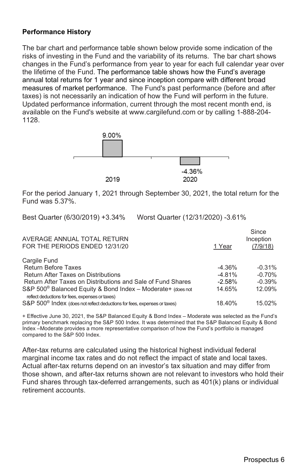# **Performance History**

The bar chart and performance table shown below provide some indication of the risks of investing in the Fund and the variability of its returns. The bar chart shows changes in the Fund's performance from year to year for each full calendar year over the lifetime of the Fund. The performance table shows how the Fund's average annual total returns for 1 year and since inception compare with different broad measures of market performance. The Fund's past performance (before and after taxes) is not necessarily an indication of how the Fund will perform in the future. Updated performance information, current through the most recent month end, is available on the Fund's website at www.cargilefund.com or by calling 1-888-204- 1128.



For the period January 1, 2021 through September 30, 2021, the total return for the Fund was 5.37%.

Best Quarter (6/30/2019) +3.34% Worst Quarter (12/31/2020) -3.61%

| AVERAGE ANNUAL TOTAL RETURN<br>FOR THE PERIODS ENDED 12/31/20                        | 1 Year   | Since<br>Inception<br>(7/9/18) |
|--------------------------------------------------------------------------------------|----------|--------------------------------|
| Cargile Fund                                                                         |          |                                |
| <b>Return Before Taxes</b>                                                           | $-4.36%$ | $-0.31%$                       |
| <b>Return After Taxes on Distributions</b>                                           | $-4.81%$ | $-0.70%$                       |
| Return After Taxes on Distributions and Sale of Fund Shares                          | $-2.58%$ | $-0.39%$                       |
| S&P 500 <sup>®</sup> Balanced Equity & Bond Index - Moderate+ (does not              | 14.65%   | 12.09%                         |
| reflect deductions for fees, expenses or taxes)                                      |          |                                |
| S&P 500 <sup>®</sup> Index (does not reflect deductions for fees, expenses or taxes) | 18.40%   | 15.02%                         |
|                                                                                      |          |                                |

+ Effective June 30, 2021, the S&P Balanced Equity & Bond Index – Moderate was selected as the Fund's primary benchmark replacing the S&P 500 Index. It was determined that the S&P Balanced Equity & Bond Index –Moderate provides a more representative comparison of how the Fund's portfolio is managed compared to the S&P 500 Index.

<span id="page-7-0"></span>After-tax returns are calculated using the historical highest individual federal marginal income tax rates and do not reflect the impact of state and local taxes. Actual after-tax returns depend on an investor's tax situation and may differ from those shown, and after-tax returns shown are not relevant to investors who hold their Fund shares through tax-deferred arrangements, such as 401(k) plans or individual retirement accounts.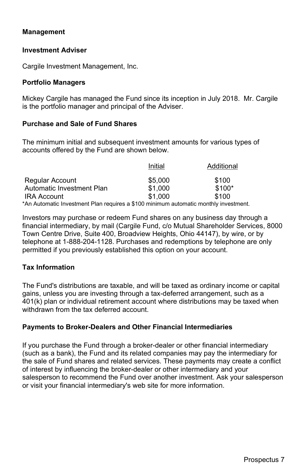# **Management**

#### **Investment Adviser**

Cargile Investment Management, Inc.

#### **Portfolio Managers**

Mickey Cargile has managed the Fund since its inception in July 2018. Mr. Cargile is the portfolio manager and principal of the Adviser.

#### <span id="page-8-0"></span>**Purchase and Sale of Fund Shares**

The minimum initial and subsequent investment amounts for various types of accounts offered by the Fund are shown below.

|                                                                                      | Initial | Additional |
|--------------------------------------------------------------------------------------|---------|------------|
| Regular Account                                                                      | \$5,000 | \$100      |
| Automatic Investment Plan                                                            | \$1,000 | $$100*$    |
| <b>IRA Account</b>                                                                   | \$1.000 | \$100      |
| *An Automatic Investment Plan requires a \$100 minimum automatic monthly investment. |         |            |

Investors may purchase or redeem Fund shares on any business day through a financial intermediary, by mail (Cargile Fund, c/o Mutual Shareholder Services, 8000 Town Centre Drive, Suite 400, Broadview Heights, Ohio 44147), by wire, or by telephone at 1-888-204-1128. Purchases and redemptions by telephone are only permitted if you previously established this option on your account.

#### <span id="page-8-1"></span>**Tax Information**

The Fund's distributions are taxable, and will be taxed as ordinary income or capital gains, unless you are investing through a tax-deferred arrangement, such as a 401(k) plan or individual retirement account where distributions may be taxed when withdrawn from the tax deferred account.

#### <span id="page-8-2"></span>**Payments to Broker-Dealers and Other Financial Intermediaries**

<span id="page-8-3"></span>If you purchase the Fund through a broker-dealer or other financial intermediary (such as a bank), the Fund and its related companies may pay the intermediary for the sale of Fund shares and related services. These payments may create a conflict of interest by influencing the broker-dealer or other intermediary and your salesperson to recommend the Fund over another investment. Ask your salesperson or visit your financial intermediary's web site for more information.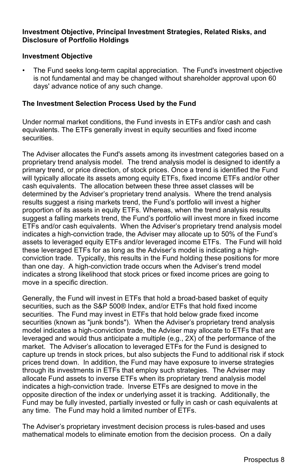#### **Investment Objective, Principal Investment Strategies, Related Risks, and Disclosure of Portfolio Holdings**

#### <span id="page-9-0"></span>**Investment Objective**

• The Fund seeks long-term capital appreciation. The Fund's investment objective is not fundamental and may be changed without shareholder approval upon 60 days' advance notice of any such change.

#### <span id="page-9-1"></span>**The Investment Selection Process Used by the Fund**

Under normal market conditions, the Fund invests in ETFs and/or cash and cash equivalents. The ETFs generally invest in equity securities and fixed income securities.

The Adviser allocates the Fund's assets among its investment categories based on a proprietary trend analysis model. The trend analysis model is designed to identify a primary trend, or price direction, of stock prices. Once a trend is identified the Fund will typically allocate its assets among equity ETFs, fixed income ETFs and/or other cash equivalents. The allocation between these three asset classes will be determined by the Adviser's proprietary trend analysis. Where the trend analysis results suggest a rising markets trend, the Fund's portfolio will invest a higher proportion of its assets in equity ETFs. Whereas, when the trend analysis results suggest a falling markets trend, the Fund's portfolio will invest more in fixed income ETFs and/or cash equivalents. When the Adviser's proprietary trend analysis model indicates a high-conviction trade, the Adviser may allocate up to 50% of the Fund's assets to leveraged equity ETFs and/or leveraged income ETFs. The Fund will hold these leveraged ETFs for as long as the Adviser's model is indicating a highconviction trade. Typically, this results in the Fund holding these positions for more than one day. A high-conviction trade occurs when the Adviser's trend model indicates a strong likelihood that stock prices or fixed income prices are going to move in a specific direction.

Generally, the Fund will invest in ETFs that hold a broad-based basket of equity securities, such as the S&P 500® Index, and/or ETFs that hold fixed income securities. The Fund may invest in ETFs that hold below grade fixed income securities (known as "junk bonds"). When the Adviser's proprietary trend analysis model indicates a high-conviction trade, the Adviser may allocate to ETFs that are leveraged and would thus anticipate a multiple (e.g., 2X) of the performance of the market. The Adviser's allocation to leveraged ETFs for the Fund is designed to capture up trends in stock prices, but also subjects the Fund to additional risk if stock prices trend down. In addition, the Fund may have exposure to inverse strategies through its investments in ETFs that employ such strategies. The Adviser may allocate Fund assets to inverse ETFs when its proprietary trend analysis model indicates a high-conviction trade. Inverse ETFs are designed to move in the opposite direction of the index or underlying asset it is tracking. Additionally, the Fund may be fully invested, partially invested or fully in cash or cash equivalents at any time. The Fund may hold a limited number of ETFs.

The Adviser's proprietary investment decision process is rules-based and uses mathematical models to eliminate emotion from the decision process. On a daily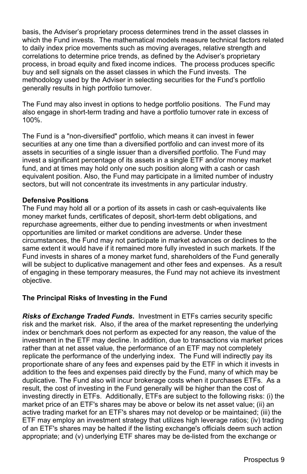basis, the Adviser's proprietary process determines trend in the asset classes in which the Fund invests. The mathematical models measure technical factors related to daily index price movements such as moving averages, relative strength and correlations to determine price trends, as defined by the Adviser's proprietary process, in broad equity and fixed income indices. The process produces specific buy and sell signals on the asset classes in which the Fund invests. The methodology used by the Adviser in selecting securities for the Fund's portfolio generally results in high portfolio turnover.

The Fund may also invest in options to hedge portfolio positions. The Fund may also engage in short-term trading and have a portfolio turnover rate in excess of 100%.

The Fund is a "non-diversified" portfolio, which means it can invest in fewer securities at any one time than a diversified portfolio and can invest more of its assets in securities of a single issuer than a diversified portfolio. The Fund may invest a significant percentage of its assets in a single ETF and/or money market fund, and at times may hold only one such position along with a cash or cash equivalent position. Also, the Fund may participate in a limited number of industry sectors, but will not concentrate its investments in any particular industry.

#### **Defensive Positions**

The Fund may hold all or a portion of its assets in cash or cash-equivalents like money market funds, certificates of deposit, short-term debt obligations, and repurchase agreements, either due to pending investments or when investment opportunities are limited or market conditions are adverse. Under these circumstances, the Fund may not participate in market advances or declines to the same extent it would have if it remained more fully invested in such markets. If the Fund invests in shares of a money market fund, shareholders of the Fund generally will be subject to duplicative management and other fees and expenses. As a result of engaging in these temporary measures, the Fund may not achieve its investment objective.

#### <span id="page-10-0"></span>**The Principal Risks of Investing in the Fund**

*Risks of Exchange Traded Funds***.** Investment in ETFs carries security specific risk and the market risk. Also, if the area of the market representing the underlying index or benchmark does not perform as expected for any reason, the value of the investment in the ETF may decline. In addition, due to transactions via market prices rather than at net asset value, the performance of an ETF may not completely replicate the performance of the underlying index. The Fund will indirectly pay its proportionate share of any fees and expenses paid by the ETF in which it invests in addition to the fees and expenses paid directly by the Fund, many of which may be duplicative. The Fund also will incur brokerage costs when it purchases ETFs. As a result, the cost of investing in the Fund generally will be higher than the cost of investing directly in ETFs. Additionally, ETFs are subject to the following risks: (i) the market price of an ETF's shares may be above or below its net asset value; (ii) an active trading market for an ETF's shares may not develop or be maintained; (iii) the ETF may employ an investment strategy that utilizes high leverage ratios; (iv) trading of an ETF's shares may be halted if the listing exchange's officials deem such action appropriate; and (v) underlying ETF shares may be de-listed from the exchange or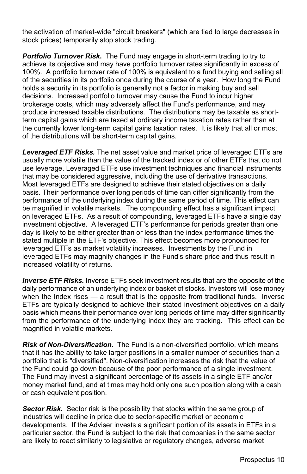the activation of market-wide "circuit breakers" (which are tied to large decreases in stock prices) temporarily stop stock trading.

**Portfolio Turnover Risk.** The Fund may engage in short-term trading to try to achieve its objective and may have portfolio turnover rates significantly in excess of 100%. A portfolio turnover rate of 100% is equivalent to a fund buying and selling all of the securities in its portfolio once during the course of a year. How long the Fund holds a security in its portfolio is generally not a factor in making buy and sell decisions. Increased portfolio turnover may cause the Fund to incur higher brokerage costs, which may adversely affect the Fund's performance, and may produce increased taxable distributions. The distributions may be taxable as shortterm capital gains which are taxed at ordinary income taxation rates rather than at the currently lower long-term capital gains taxation rates. It is likely that all or most of the distributions will be short-term capital gains.

*Leveraged ETF Risks.* The net asset value and market price of leveraged ETFs are usually more volatile than the value of the tracked index or of other ETFs that do not use leverage. Leveraged ETFs use investment techniques and financial instruments that may be considered aggressive, including the use of derivative transactions. Most leveraged ETFs are designed to achieve their stated objectives on a daily basis. Their performance over long periods of time can differ significantly from the performance of the underlying index during the same period of time. This effect can be magnified in volatile markets. The compounding effect has a significant impact on leveraged ETFs. As a result of compounding, leveraged ETFs have a single day investment objective. A leveraged ETF's performance for periods greater than one day is likely to be either greater than or less than the index performance times the stated multiple in the ETF's objective. This effect becomes more pronounced for leveraged ETFs as market volatility increases. Investments by the Fund in leveraged ETFs may magnify changes in the Fund's share price and thus result in increased volatility of returns.

*Inverse ETF Risks.* Inverse ETFs seek investment results that are the opposite of the daily performance of an underlying index or basket of stocks. Investors will lose money when the Index rises  $-$  a result that is the opposite from traditional funds. Inverse ETFs are typically designed to achieve their stated investment objectives on a daily basis which means their performance over long periods of time may differ significantly from the performance of the underlying index they are tracking. This effect can be magnified in volatile markets.

*Risk of Non-Diversification***.** The Fund is a non-diversified portfolio, which means that it has the ability to take larger positions in a smaller number of securities than a portfolio that is "diversified". Non-diversification increases the risk that the value of the Fund could go down because of the poor performance of a single investment. The Fund may invest a significant percentage of its assets in a single ETF and/or money market fund, and at times may hold only one such position along with a cash or cash equivalent position.

*Sector Risk***.** Sector risk is the possibility that stocks within the same group of industries will decline in price due to sector-specific market or economic developments. If the Adviser invests a significant portion of its assets in ETFs in a particular sector, the Fund is subject to the risk that companies in the same sector are likely to react similarly to legislative or regulatory changes, adverse market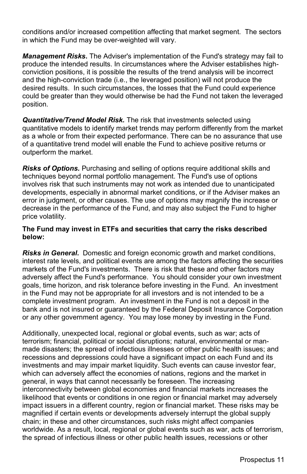conditions and/or increased competition affecting that market segment. The sectors in which the Fund may be over-weighted will vary.

*Management Risks***.** The Adviser's implementation of the Fund's strategy may fail to produce the intended results. In circumstances where the Adviser establishes highconviction positions, it is possible the results of the trend analysis will be incorrect and the high-conviction trade (i.e., the leveraged position) will not produce the desired results. In such circumstances, the losses that the Fund could experience could be greater than they would otherwise be had the Fund not taken the leveraged position.

*Quantitative/Trend Model Risk.* The risk that investments selected using quantitative models to identify market trends may perform differently from the market as a whole or from their expected performance. There can be no assurance that use of a quantitative trend model will enable the Fund to achieve positive returns or outperform the market.

*Risks of Options.* Purchasing and selling of options require additional skills and techniques beyond normal portfolio management. The Fund's use of options involves risk that such instruments may not work as intended due to unanticipated developments, especially in abnormal market conditions, or if the Adviser makes an error in judgment, or other causes. The use of options may magnify the increase or decrease in the performance of the Fund, and may also subject the Fund to higher price volatility.

#### **The Fund may invest in ETFs and securities that carry the risks described below:**

*Risks in General***.** Domestic and foreign economic growth and market conditions, interest rate levels, and political events are among the factors affecting the securities markets of the Fund's investments. There is risk that these and other factors may adversely affect the Fund's performance. You should consider your own investment goals, time horizon, and risk tolerance before investing in the Fund. An investment in the Fund may not be appropriate for all investors and is not intended to be a complete investment program. An investment in the Fund is not a deposit in the bank and is not insured or guaranteed by the Federal Deposit Insurance Corporation or any other government agency. You may lose money by investing in the Fund.

Additionally, unexpected local, regional or global events, such as war; acts of terrorism; financial, political or social disruptions; natural, environmental or manmade disasters; the spread of infectious illnesses or other public health issues; and recessions and depressions could have a significant impact on each Fund and its investments and may impair market liquidity. Such events can cause investor fear, which can adversely affect the economies of nations, regions and the market in general, in ways that cannot necessarily be foreseen. The increasing interconnectivity between global economies and financial markets increases the likelihood that events or conditions in one region or financial market may adversely impact issuers in a different country, region or financial market. These risks may be magnified if certain events or developments adversely interrupt the global supply chain; in these and other circumstances, such risks might affect companies worldwide. As a result, local, regional or global events such as war, acts of terrorism, the spread of infectious illness or other public health issues, recessions or other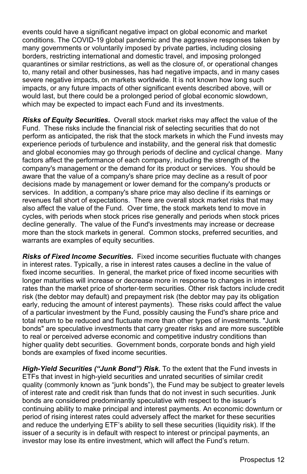events could have a significant negative impact on global economic and market conditions. The COVID-19 global pandemic and the aggressive responses taken by many governments or voluntarily imposed by private parties, including closing borders, restricting international and domestic travel, and imposing prolonged quarantines or similar restrictions, as well as the closure of, or operational changes to, many retail and other businesses, has had negative impacts, and in many cases severe negative impacts, on markets worldwide. It is not known how long such impacts, or any future impacts of other significant events described above, will or would last, but there could be a prolonged period of global economic slowdown, which may be expected to impact each Fund and its investments.

*Risks of Equity Securities***.** Overall stock market risks may affect the value of the Fund. These risks include the financial risk of selecting securities that do not perform as anticipated, the risk that the stock markets in which the Fund invests may experience periods of turbulence and instability, and the general risk that domestic and global economies may go through periods of decline and cyclical change. Many factors affect the performance of each company, including the strength of the company's management or the demand for its product or services. You should be aware that the value of a company's share price may decline as a result of poor decisions made by management or lower demand for the company's products or services. In addition, a company's share price may also decline if its earnings or revenues fall short of expectations. There are overall stock market risks that may also affect the value of the Fund. Over time, the stock markets tend to move in cycles, with periods when stock prices rise generally and periods when stock prices decline generally. The value of the Fund's investments may increase or decrease more than the stock markets in general. Common stocks, preferred securities, and warrants are examples of equity securities.

*Risks of Fixed Income Securities***.** Fixed income securities fluctuate with changes in interest rates. Typically, a rise in interest rates causes a decline in the value of fixed income securities. In general, the market price of fixed income securities with longer maturities will increase or decrease more in response to changes in interest rates than the market price of shorter-term securities. Other risk factors include credit risk (the debtor may default) and prepayment risk (the debtor may pay its obligation early, reducing the amount of interest payments). These risks could affect the value of a particular investment by the Fund, possibly causing the Fund's share price and total return to be reduced and fluctuate more than other types of investments. "Junk bonds" are speculative investments that carry greater risks and are more susceptible to real or perceived adverse economic and competitive industry conditions than higher quality debt securities. Government bonds, corporate bonds and high yield bonds are examples of fixed income securities.

*High-Yield Securities ("Junk Bond") Risk.* To the extent that the Fund invests in ETFs that invest in high-yield securities and unrated securities of similar credit quality (commonly known as "junk bonds"), the Fund may be subject to greater levels of interest rate and credit risk than funds that do not invest in such securities. Junk bonds are considered predominantly speculative with respect to the issuer's continuing ability to make principal and interest payments. An economic downturn or period of rising interest rates could adversely affect the market for these securities and reduce the underlying ETF's ability to sell these securities (liquidity risk). If the issuer of a security is in default with respect to interest or principal payments, an investor may lose its entire investment, which will affect the Fund's return.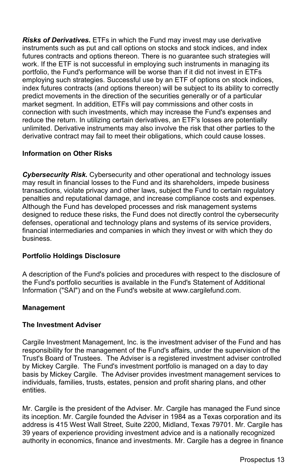*Risks of Derivatives.* ETFs in which the Fund may invest may use derivative instruments such as put and call options on stocks and stock indices, and index futures contracts and options thereon. There is no guarantee such strategies will work. If the ETF is not successful in employing such instruments in managing its portfolio, the Fund's performance will be worse than if it did not invest in ETFs employing such strategies. Successful use by an ETF of options on stock indices, index futures contracts (and options thereon) will be subject to its ability to correctly predict movements in the direction of the securities generally or of a particular market segment. In addition, ETFs will pay commissions and other costs in connection with such investments, which may increase the Fund's expenses and reduce the return. In utilizing certain derivatives, an ETF's losses are potentially unlimited. Derivative instruments may also involve the risk that other parties to the derivative contract may fail to meet their obligations, which could cause losses.

# <span id="page-14-0"></span>**Information on Other Risks**

*Cybersecurity Risk.* Cybersecurity and other operational and technology issues may result in financial losses to the Fund and its shareholders, impede business transactions, violate privacy and other laws, subject the Fund to certain regulatory penalties and reputational damage, and increase compliance costs and expenses. Although the Fund has developed processes and risk management systems designed to reduce these risks, the Fund does not directly control the cybersecurity defenses, operational and technology plans and systems of its service providers, financial intermediaries and companies in which they invest or with which they do business.

#### **Portfolio Holdings Disclosure**

A description of the Fund's policies and procedures with respect to the disclosure of the Fund's portfolio securities is available in the Fund's Statement of Additional Information ("SAI") and on the Fund's website at www.cargilefund.com.

#### <span id="page-14-2"></span><span id="page-14-1"></span>**Management**

#### **The Investment Adviser**

Cargile Investment Management, Inc. is the investment adviser of the Fund and has responsibility for the management of the Fund's affairs, under the supervision of the Trust's Board of Trustees. The Adviser is a registered investment adviser controlled by Mickey Cargile. The Fund's investment portfolio is managed on a day to day basis by Mickey Cargile. The Adviser provides investment management services to individuals, families, trusts, estates, pension and profit sharing plans, and other entities.

Mr. Cargile is the president of the Adviser. Mr. Cargile has managed the Fund since its inception. Mr. Cargile founded the Adviser in 1984 as a Texas corporation and its address is 415 West Wall Street, Suite 2200, Midland, Texas 79701. Mr. Cargile has 39 years of experience providing investment advice and is a nationally recognized authority in economics, finance and investments. Mr. Cargile has a degree in finance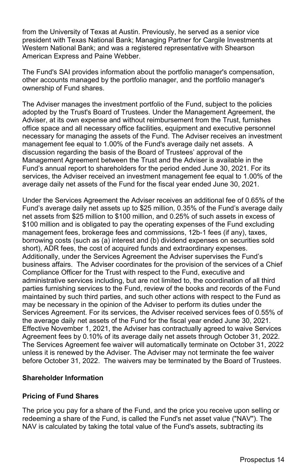from the University of Texas at Austin. Previously, he served as a senior vice president with Texas National Bank; Managing Partner for Cargile Investments at Western National Bank; and was a registered representative with Shearson American Express and Paine Webber.

The Fund's SAI provides information about the portfolio manager's compensation, other accounts managed by the portfolio manager, and the portfolio manager's ownership of Fund shares.

The Adviser manages the investment portfolio of the Fund, subject to the policies adopted by the Trust's Board of Trustees. Under the Management Agreement, the Adviser, at its own expense and without reimbursement from the Trust, furnishes office space and all necessary office facilities, equipment and executive personnel necessary for managing the assets of the Fund. The Adviser receives an investment management fee equal to 1.00% of the Fund's average daily net assets. A discussion regarding the basis of the Board of Trustees' approval of the Management Agreement between the Trust and the Adviser is available in the Fund's annual report to shareholders for the period ended June 30, 2021. For its services, the Adviser received an investment management fee equal to 1.00% of the average daily net assets of the Fund for the fiscal year ended June 30, 2021.

Under the Services Agreement the Adviser receives an additional fee of 0.65% of the Fund's average daily net assets up to \$25 million, 0.35% of the Fund's average daily net assets from \$25 million to \$100 million, and 0.25% of such assets in excess of \$100 million and is obligated to pay the operating expenses of the Fund excluding management fees, brokerage fees and commissions, 12b-1 fees (if any), taxes, borrowing costs (such as (a) interest and (b) dividend expenses on securities sold short), ADR fees, the cost of acquired funds and extraordinary expenses. Additionally, under the Services Agreement the Adviser supervises the Fund's business affairs. The Adviser coordinates for the provision of the services of a Chief Compliance Officer for the Trust with respect to the Fund, executive and administrative services including, but are not limited to, the coordination of all third parties furnishing services to the Fund, review of the books and records of the Fund maintained by such third parties, and such other actions with respect to the Fund as may be necessary in the opinion of the Adviser to perform its duties under the Services Agreement. For its services, the Adviser received services fees of 0.55% of the average daily net assets of the Fund for the fiscal year ended June 30, 2021. Effective November 1, 2021, the Adviser has contractually agreed to waive Services Agreement fees by 0.10% of its average daily net assets through October 31, 2022. The Services Agreement fee waiver will automatically terminate on October 31, 2022 unless it is renewed by the Adviser. The Adviser may not terminate the fee waiver before October 31, 2022. The waivers may be terminated by the Board of Trustees.

#### <span id="page-15-0"></span>**Shareholder Information**

# <span id="page-15-1"></span>**Pricing of Fund Shares**

The price you pay for a share of the Fund, and the price you receive upon selling or redeeming a share of the Fund, is called the Fund's net asset value ("NAV"). The NAV is calculated by taking the total value of the Fund's assets, subtracting its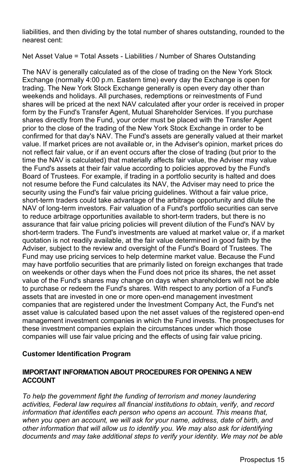liabilities, and then dividing by the total number of shares outstanding, rounded to the nearest cent:

Net Asset Value = Total Assets - Liabilities / Number of Shares Outstanding

The NAV is generally calculated as of the close of trading on the New York Stock Exchange (normally 4:00 p.m. Eastern time) every day the Exchange is open for trading. The New York Stock Exchange generally is open every day other than weekends and holidays. All purchases, redemptions or reinvestments of Fund shares will be priced at the next NAV calculated after your order is received in proper form by the Fund's Transfer Agent, Mutual Shareholder Services. If you purchase shares directly from the Fund, your order must be placed with the Transfer Agent prior to the close of the trading of the New York Stock Exchange in order to be confirmed for that day's NAV. The Fund's assets are generally valued at their market value. If market prices are not available or, in the Adviser's opinion, market prices do not reflect fair value, or if an event occurs after the close of trading (but prior to the time the NAV is calculated) that materially affects fair value, the Adviser may value the Fund's assets at their fair value according to policies approved by the Fund's Board of Trustees. For example, if trading in a portfolio security is halted and does not resume before the Fund calculates its NAV, the Adviser may need to price the security using the Fund's fair value pricing guidelines. Without a fair value price, short-term traders could take advantage of the arbitrage opportunity and dilute the NAV of long-term investors. Fair valuation of a Fund's portfolio securities can serve to reduce arbitrage opportunities available to short-term traders, but there is no assurance that fair value pricing policies will prevent dilution of the Fund's NAV by short-term traders. The Fund's investments are valued at market value or, if a market quotation is not readily available, at the fair value determined in good faith by the Adviser, subject to the review and oversight of the Fund's Board of Trustees. The Fund may use pricing services to help determine market value. Because the Fund may have portfolio securities that are primarily listed on foreign exchanges that trade on weekends or other days when the Fund does not price its shares, the net asset value of the Fund's shares may change on days when shareholders will not be able to purchase or redeem the Fund's shares. With respect to any portion of a Fund's assets that are invested in one or more open-end management investment companies that are registered under the Investment Company Act, the Fund's net asset value is calculated based upon the net asset values of the registered open-end management investment companies in which the Fund invests. The prospectuses for these investment companies explain the circumstances under which those companies will use fair value pricing and the effects of using fair value pricing.

#### <span id="page-16-0"></span>**Customer Identification Program**

#### **IMPORTANT INFORMATION ABOUT PROCEDURES FOR OPENING A NEW ACCOUNT**

*To help the government fight the funding of terrorism and money laundering activities, Federal law requires all financial institutions to obtain, verify, and record information that identifies each person who opens an account. This means that, when you open an account, we will ask for your name, address, date of birth, and other information that will allow us to identify you. We may also ask for identifying documents and may take additional steps to verify your identity. We may not be able*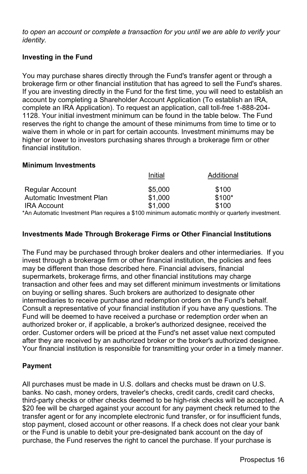*to open an account or complete a transaction for you until we are able to verify your identity.*

# <span id="page-17-0"></span>**Investing in the Fund**

You may purchase shares directly through the Fund's transfer agent or through a brokerage firm or other financial institution that has agreed to sell the Fund's shares. If you are investing directly in the Fund for the first time, you will need to establish an account by completing a Shareholder Account Application (To establish an IRA, complete an IRA Application). To request an application, call toll-free 1-888-204- 1128. Your initial investment minimum can be found in the table below. The Fund reserves the right to change the amount of these minimums from time to time or to waive them in whole or in part for certain accounts. Investment minimums may be higher or lower to investors purchasing shares through a brokerage firm or other financial institution.

#### <span id="page-17-1"></span>**Minimum Investments**

|                                                                                         | Initial | Additional |
|-----------------------------------------------------------------------------------------|---------|------------|
| Regular Account                                                                         | \$5,000 | \$100      |
| Automatic Investment Plan                                                               | \$1,000 | $$100*$    |
| <b>IRA Account</b>                                                                      | \$1,000 | \$100      |
| *An Automotic Investment Dlan requires a C400 minimum automotic mentalus an australis i |         |            |

\*An Automatic Investment Plan requires a \$100 minimum automatic monthly or quarterly investment.

# <span id="page-17-2"></span>**Investments Made Through Brokerage Firms or Other Financial Institutions**

The Fund may be purchased through broker dealers and other intermediaries. If you invest through a brokerage firm or other financial institution, the policies and fees may be different than those described here. Financial advisers, financial supermarkets, brokerage firms, and other financial institutions may charge transaction and other fees and may set different minimum investments or limitations on buying or selling shares. Such brokers are authorized to designate other intermediaries to receive purchase and redemption orders on the Fund's behalf. Consult a representative of your financial institution if you have any questions. The Fund will be deemed to have received a purchase or redemption order when an authorized broker or, if applicable, a broker's authorized designee, received the order. Customer orders will be priced at the Fund's net asset value next computed after they are received by an authorized broker or the broker's authorized designee. Your financial institution is responsible for transmitting your order in a timely manner.

#### <span id="page-17-3"></span>**Payment**

All purchases must be made in U.S. dollars and checks must be drawn on U.S. banks. No cash, money orders, traveler's checks, credit cards, credit card checks, third-party checks or other checks deemed to be high-risk checks will be accepted. A \$20 fee will be charged against your account for any payment check returned to the transfer agent or for any incomplete electronic fund transfer, or for insufficient funds, stop payment, closed account or other reasons. If a check does not clear your bank or the Fund is unable to debit your pre-designated bank account on the day of purchase, the Fund reserves the right to cancel the purchase. If your purchase is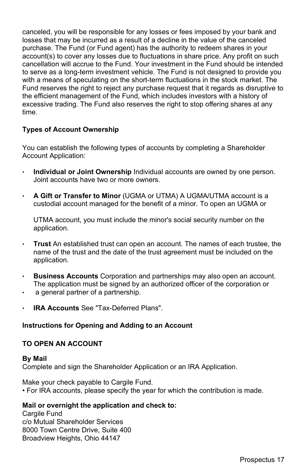canceled, you will be responsible for any losses or fees imposed by your bank and losses that may be incurred as a result of a decline in the value of the canceled purchase. The Fund (or Fund agent) has the authority to redeem shares in your account(s) to cover any losses due to fluctuations in share price. Any profit on such cancellation will accrue to the Fund. Your investment in the Fund should be intended to serve as a long-term investment vehicle. The Fund is not designed to provide you with a means of speculating on the short-term fluctuations in the stock market. The Fund reserves the right to reject any purchase request that it regards as disruptive to the efficient management of the Fund, which includes investors with a history of excessive trading. The Fund also reserves the right to stop offering shares at any time.

# <span id="page-18-0"></span>**Types of Account Ownership**

You can establish the following types of accounts by completing a Shareholder Account Application:

- **Individual or Joint Ownership** Individual accounts are owned by one person. Joint accounts have two or more owners.
- **A Gift or Transfer to Minor** (UGMA or UTMA) A UGMA/UTMA account is a custodial account managed for the benefit of a minor. To open an UGMA or

UTMA account, you must include the minor's social security number on the application.

- **Trust** An established trust can open an account. The names of each trustee, the name of the trust and the date of the trust agreement must be included on the application.
- **Business Accounts** Corporation and partnerships may also open an account. The application must be signed by an authorized officer of the corporation or
- a general partner of a partnership.
- **IRA Accounts** See "Tax-Deferred Plans".

#### <span id="page-18-1"></span>**Instructions for Opening and Adding to an Account**

# **TO OPEN AN ACCOUNT**

#### **By Mail**

Complete and sign the Shareholder Application or an IRA Application.

Make your check payable to Cargile Fund.

• For IRA accounts, please specify the year for which the contribution is made.

#### **Mail or overnight the application and check to:**

Cargile Fund c/o Mutual Shareholder Services 8000 Town Centre Drive, Suite 400 Broadview Heights, Ohio 44147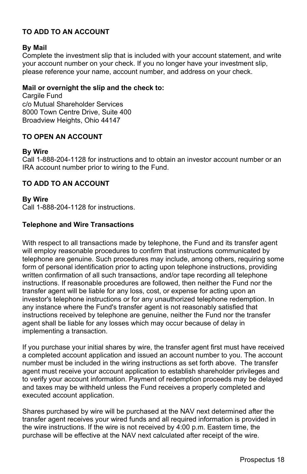# **TO ADD TO AN ACCOUNT**

#### **By Mail**

Complete the investment slip that is included with your account statement, and write your account number on your check. If you no longer have your investment slip, please reference your name, account number, and address on your check.

#### **Mail or overnight the slip and the check to:**

Cargile Fund c/o Mutual Shareholder Services 8000 Town Centre Drive, Suite 400 Broadview Heights, Ohio 44147

# **TO OPEN AN ACCOUNT**

#### **By Wire**

Call 1-888-204-1128 for instructions and to obtain an investor account number or an IRA account number prior to wiring to the Fund.

#### **TO ADD TO AN ACCOUNT**

#### **By Wire**

Call 1-888-204-1128 for instructions.

#### <span id="page-19-0"></span>**Telephone and Wire Transactions**

With respect to all transactions made by telephone, the Fund and its transfer agent will employ reasonable procedures to confirm that instructions communicated by telephone are genuine. Such procedures may include, among others, requiring some form of personal identification prior to acting upon telephone instructions, providing written confirmation of all such transactions, and/or tape recording all telephone instructions. If reasonable procedures are followed, then neither the Fund nor the transfer agent will be liable for any loss, cost, or expense for acting upon an investor's telephone instructions or for any unauthorized telephone redemption. In any instance where the Fund's transfer agent is not reasonably satisfied that instructions received by telephone are genuine, neither the Fund nor the transfer agent shall be liable for any losses which may occur because of delay in implementing a transaction.

If you purchase your initial shares by wire, the transfer agent first must have received a completed account application and issued an account number to you. The account number must be included in the wiring instructions as set forth above. The transfer agent must receive your account application to establish shareholder privileges and to verify your account information. Payment of redemption proceeds may be delayed and taxes may be withheld unless the Fund receives a properly completed and executed account application.

Shares purchased by wire will be purchased at the NAV next determined after the transfer agent receives your wired funds and all required information is provided in the wire instructions. If the wire is not received by 4:00 p.m. Eastern time, the purchase will be effective at the NAV next calculated after receipt of the wire.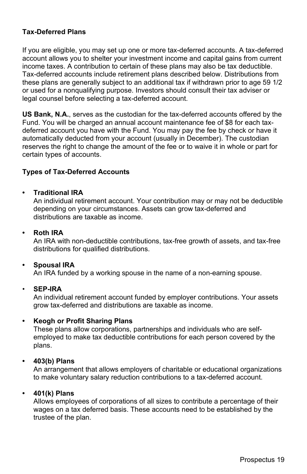# <span id="page-20-0"></span>**Tax-Deferred Plans**

If you are eligible, you may set up one or more tax-deferred accounts. A tax-deferred account allows you to shelter your investment income and capital gains from current income taxes. A contribution to certain of these plans may also be tax deductible. Tax-deferred accounts include retirement plans described below. Distributions from these plans are generally subject to an additional tax if withdrawn prior to age 59 1/2 or used for a nonqualifying purpose. Investors should consult their tax adviser or legal counsel before selecting a tax-deferred account.

**US Bank, N.A.**, serves as the custodian for the tax-deferred accounts offered by the Fund. You will be charged an annual account maintenance fee of \$8 for each taxdeferred account you have with the Fund. You may pay the fee by check or have it automatically deducted from your account (usually in December). The custodian reserves the right to change the amount of the fee or to waive it in whole or part for certain types of accounts.

#### <span id="page-20-1"></span>**Types of Tax-Deferred Accounts**

#### **• Traditional IRA**

An individual retirement account. Your contribution may or may not be deductible depending on your circumstances. Assets can grow tax-deferred and distributions are taxable as income.

#### **• Roth IRA**

An IRA with non-deductible contributions, tax-free growth of assets, and tax-free distributions for qualified distributions.

#### **• Spousal IRA**

An IRA funded by a working spouse in the name of a non-earning spouse.

#### • **SEP-IRA**

An individual retirement account funded by employer contributions. Your assets grow tax-deferred and distributions are taxable as income.

#### **• Keogh or Profit Sharing Plans**

These plans allow corporations, partnerships and individuals who are selfemployed to make tax deductible contributions for each person covered by the plans.

#### **• 403(b) Plans**

An arrangement that allows employers of charitable or educational organizations to make voluntary salary reduction contributions to a tax-deferred account.

#### **• 401(k) Plans**

Allows employees of corporations of all sizes to contribute a percentage of their wages on a tax deferred basis. These accounts need to be established by the trustee of the plan.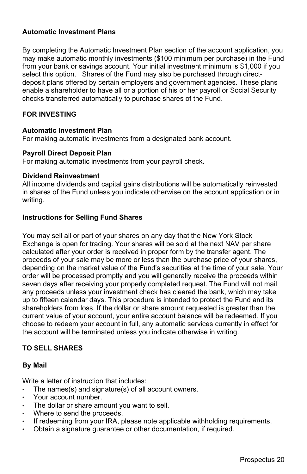#### <span id="page-21-0"></span>**Automatic Investment Plans**

By completing the Automatic Investment Plan section of the account application, you may make automatic monthly investments (\$100 minimum per purchase) in the Fund from your bank or savings account. Your initial investment minimum is \$1,000 if you select this option. Shares of the Fund may also be purchased through directdeposit plans offered by certain employers and government agencies. These plans enable a shareholder to have all or a portion of his or her payroll or Social Security checks transferred automatically to purchase shares of the Fund.

#### **FOR INVESTING**

#### **Automatic Investment Plan**

For making automatic investments from a designated bank account.

#### **Payroll Direct Deposit Plan**

For making automatic investments from your payroll check.

#### <span id="page-21-1"></span>**Dividend Reinvestment**

All income dividends and capital gains distributions will be automatically reinvested in shares of the Fund unless you indicate otherwise on the account application or in writing.

#### <span id="page-21-2"></span>**Instructions for Selling Fund Shares**

You may sell all or part of your shares on any day that the New York Stock Exchange is open for trading. Your shares will be sold at the next NAV per share calculated after your order is received in proper form by the transfer agent. The proceeds of your sale may be more or less than the purchase price of your shares, depending on the market value of the Fund's securities at the time of your sale. Your order will be processed promptly and you will generally receive the proceeds within seven days after receiving your properly completed request. The Fund will not mail any proceeds unless your investment check has cleared the bank, which may take up to fifteen calendar days. This procedure is intended to protect the Fund and its shareholders from loss. If the dollar or share amount requested is greater than the current value of your account, your entire account balance will be redeemed. If you choose to redeem your account in full, any automatic services currently in effect for the account will be terminated unless you indicate otherwise in writing.

# **TO SELL SHARES**

#### **By Mail**

Write a letter of instruction that includes:

- The names(s) and signature(s) of all account owners.
- Your account number.
- The dollar or share amount you want to sell.
- Where to send the proceeds.
- If redeeming from your IRA, please note applicable withholding requirements.
- Obtain a signature guarantee or other documentation, if required.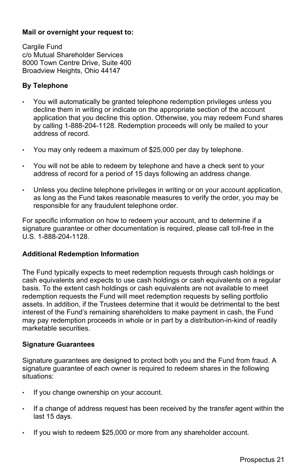# **Mail or overnight your request to:**

Cargile Fund c/o Mutual Shareholder Services 8000 Town Centre Drive, Suite 400 Broadview Heights, Ohio 44147

#### **By Telephone**

- You will automatically be granted telephone redemption privileges unless you decline them in writing or indicate on the appropriate section of the account application that you decline this option. Otherwise, you may redeem Fund shares by calling 1-888-204-1128. Redemption proceeds will only be mailed to your address of record.
- You may only redeem a maximum of \$25,000 per day by telephone.
- You will not be able to redeem by telephone and have a check sent to your address of record for a period of 15 days following an address change.
- Unless you decline telephone privileges in writing or on your account application, as long as the Fund takes reasonable measures to verify the order, you may be responsible for any fraudulent telephone order.

For specific information on how to redeem your account, and to determine if a signature guarantee or other documentation is required, please call toll-free in the U.S. 1-888-204-1128.

#### <span id="page-22-0"></span>**Additional Redemption Information**

The Fund typically expects to meet redemption requests through cash holdings or cash equivalents and expects to use cash holdings or cash equivalents on a regular basis. To the extent cash holdings or cash equivalents are not available to meet redemption requests the Fund will meet redemption requests by selling portfolio assets. In addition, if the Trustees determine that it would be detrimental to the best interest of the Fund's remaining shareholders to make payment in cash, the Fund may pay redemption proceeds in whole or in part by a distribution-in-kind of readily marketable securities.

#### **Signature Guarantees**

Signature guarantees are designed to protect both you and the Fund from fraud. A signature guarantee of each owner is required to redeem shares in the following situations:

- If you change ownership on your account.
- If a change of address request has been received by the transfer agent within the last 15 days.
- If you wish to redeem \$25,000 or more from any shareholder account.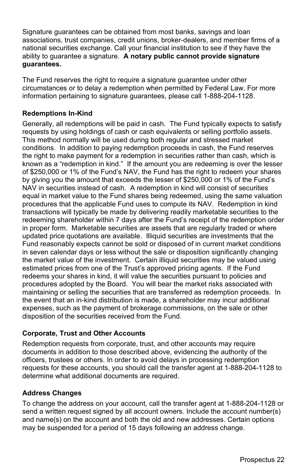Signature guarantees can be obtained from most banks, savings and loan associations, trust companies, credit unions, broker-dealers, and member firms of a national securities exchange. Call your financial institution to see if they have the ability to guarantee a signature. **A notary public cannot provide signature guarantees.** 

The Fund reserves the right to require a signature guarantee under other circumstances or to delay a redemption when permitted by Federal Law. For more information pertaining to signature guarantees, please call 1-888-204-1128.

# **Redemptions In-Kind**

Generally, all redemptions will be paid in cash. The Fund typically expects to satisfy requests by using holdings of cash or cash equivalents or selling portfolio assets. This method normally will be used during both regular and stressed market conditions. In addition to paying redemption proceeds in cash, the Fund reserves the right to make payment for a redemption in securities rather than cash, which is known as a "redemption in kind." If the amount you are redeeming is over the lesser of \$250,000 or 1% of the Fund's NAV, the Fund has the right to redeem your shares by giving you the amount that exceeds the lesser of \$250,000 or 1% of the Fund's NAV in securities instead of cash. A redemption in kind will consist of securities equal in market value to the Fund shares being redeemed, using the same valuation procedures that the applicable Fund uses to compute its NAV. Redemption in kind transactions will typically be made by delivering readily marketable securities to the redeeming shareholder within 7 days after the Fund's receipt of the redemption order in proper form. Marketable securities are assets that are regularly traded or where updated price quotations are available. Illiquid securities are investments that the Fund reasonably expects cannot be sold or disposed of in current market conditions in seven calendar days or less without the sale or disposition significantly changing the market value of the investment. Certain illiquid securities may be valued using estimated prices from one of the Trust's approved pricing agents. If the Fund redeems your shares in kind, it will value the securities pursuant to policies and procedures adopted by the Board. You will bear the market risks associated with maintaining or selling the securities that are transferred as redemption proceeds. In the event that an in-kind distribution is made, a shareholder may incur additional expenses, such as the payment of brokerage commissions, on the sale or other disposition of the securities received from the Fund.

# **Corporate, Trust and Other Accounts**

Redemption requests from corporate, trust, and other accounts may require documents in addition to those described above, evidencing the authority of the officers, trustees or others. In order to avoid delays in processing redemption requests for these accounts, you should call the transfer agent at 1-888-204-1128 to determine what additional documents are required.

# **Address Changes**

To change the address on your account, call the transfer agent at 1-888-204-1128 or send a written request signed by all account owners. Include the account number(s) and name(s) on the account and both the old and new addresses. Certain options may be suspended for a period of 15 days following an address change.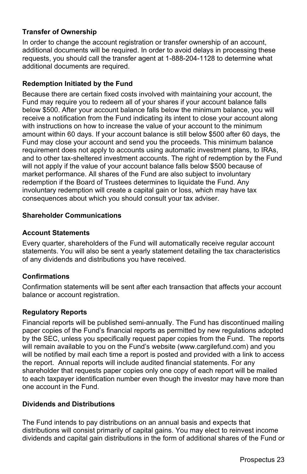# **Transfer of Ownership**

In order to change the account registration or transfer ownership of an account, additional documents will be required. In order to avoid delays in processing these requests, you should call the transfer agent at 1-888-204-1128 to determine what additional documents are required.

#### **Redemption Initiated by the Fund**

Because there are certain fixed costs involved with maintaining your account, the Fund may require you to redeem all of your shares if your account balance falls below \$500. After your account balance falls below the minimum balance, you will receive a notification from the Fund indicating its intent to close your account along with instructions on how to increase the value of your account to the minimum amount within 60 days. If your account balance is still below \$500 after 60 days, the Fund may close your account and send you the proceeds. This minimum balance requirement does not apply to accounts using automatic investment plans, to IRAs, and to other tax-sheltered investment accounts. The right of redemption by the Fund will not apply if the value of your account balance falls below \$500 because of market performance. All shares of the Fund are also subject to involuntary redemption if the Board of Trustees determines to liquidate the Fund. Any involuntary redemption will create a capital gain or loss, which may have tax consequences about which you should consult your tax adviser.

#### <span id="page-24-0"></span>**Shareholder Communications**

#### **Account Statements**

Every quarter, shareholders of the Fund will automatically receive regular account statements. You will also be sent a yearly statement detailing the tax characteristics of any dividends and distributions you have received.

#### **Confirmations**

Confirmation statements will be sent after each transaction that affects your account balance or account registration.

#### **Regulatory Reports**

Financial reports will be published semi-annually. The Fund has discontinued mailing paper copies of the Fund's financial reports as permitted by new regulations adopted by the SEC, unless you specifically request paper copies from the Fund. The reports will remain available to you on the Fund's website (www.cargilefund.com) and you will be notified by mail each time a report is posted and provided with a link to access the report. Annual reports will include audited financial statements. For any shareholder that requests paper copies only one copy of each report will be mailed to each taxpayer identification number even though the investor may have more than one account in the Fund.

#### <span id="page-24-1"></span>**Dividends and Distributions**

The Fund intends to pay distributions on an annual basis and expects that distributions will consist primarily of capital gains. You may elect to reinvest income dividends and capital gain distributions in the form of additional shares of the Fund or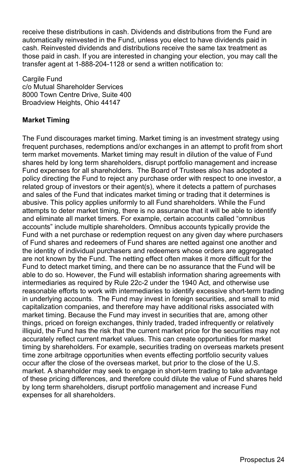receive these distributions in cash. Dividends and distributions from the Fund are automatically reinvested in the Fund, unless you elect to have dividends paid in cash. Reinvested dividends and distributions receive the same tax treatment as those paid in cash. If you are interested in changing your election, you may call the transfer agent at 1-888-204-1128 or send a written notification to:

Cargile Fund c/o Mutual Shareholder Services 8000 Town Centre Drive, Suite 400 Broadview Heights, Ohio 44147

# <span id="page-25-0"></span>**Market Timing**

<span id="page-25-1"></span>The Fund discourages market timing. Market timing is an investment strategy using frequent purchases, redemptions and/or exchanges in an attempt to profit from short term market movements. Market timing may result in dilution of the value of Fund shares held by long term shareholders, disrupt portfolio management and increase Fund expenses for all shareholders. The Board of Trustees also has adopted a policy directing the Fund to reject any purchase order with respect to one investor, a related group of investors or their agent(s), where it detects a pattern of purchases and sales of the Fund that indicates market timing or trading that it determines is abusive. This policy applies uniformly to all Fund shareholders. While the Fund attempts to deter market timing, there is no assurance that it will be able to identify and eliminate all market timers. For example, certain accounts called "omnibus accounts" include multiple shareholders. Omnibus accounts typically provide the Fund with a net purchase or redemption request on any given day where purchasers of Fund shares and redeemers of Fund shares are netted against one another and the identity of individual purchasers and redeemers whose orders are aggregated are not known by the Fund. The netting effect often makes it more difficult for the Fund to detect market timing, and there can be no assurance that the Fund will be able to do so. However, the Fund will establish information sharing agreements with intermediaries as required by Rule 22c-2 under the 1940 Act, and otherwise use reasonable efforts to work with intermediaries to identify excessive short-term trading in underlying accounts. The Fund may invest in foreign securities, and small to mid capitalization companies, and therefore may have additional risks associated with market timing. Because the Fund may invest in securities that are, among other things, priced on foreign exchanges, thinly traded, traded infrequently or relatively illiquid, the Fund has the risk that the current market price for the securities may not accurately reflect current market values. This can create opportunities for market timing by shareholders. For example, securities trading on overseas markets present time zone arbitrage opportunities when events effecting portfolio security values occur after the close of the overseas market, but prior to the close of the U.S. market. A shareholder may seek to engage in short-term trading to take advantage of these pricing differences, and therefore could dilute the value of Fund shares held by long term shareholders, disrupt portfolio management and increase Fund expenses for all shareholders.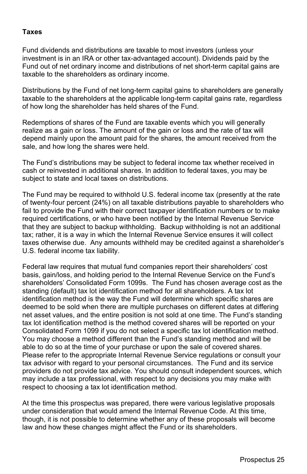# **Taxes**

Fund dividends and distributions are taxable to most investors (unless your investment is in an IRA or other tax-advantaged account). Dividends paid by the Fund out of net ordinary income and distributions of net short-term capital gains are taxable to the shareholders as ordinary income.

Distributions by the Fund of net long-term capital gains to shareholders are generally taxable to the shareholders at the applicable long-term capital gains rate, regardless of how long the shareholder has held shares of the Fund.

Redemptions of shares of the Fund are taxable events which you will generally realize as a gain or loss. The amount of the gain or loss and the rate of tax will depend mainly upon the amount paid for the shares, the amount received from the sale, and how long the shares were held.

The Fund's distributions may be subject to federal income tax whether received in cash or reinvested in additional shares. In addition to federal taxes, you may be subject to state and local taxes on distributions.

The Fund may be required to withhold U.S. federal income tax (presently at the rate of twenty-four percent (24%) on all taxable distributions payable to shareholders who fail to provide the Fund with their correct taxpayer identification numbers or to make required certifications, or who have been notified by the Internal Revenue Service that they are subject to backup withholding. Backup withholding is not an additional tax; rather, it is a way in which the Internal Revenue Service ensures it will collect taxes otherwise due. Any amounts withheld may be credited against a shareholder's U.S. federal income tax liability.

Federal law requires that mutual fund companies report their shareholders' cost basis, gain/loss, and holding period to the Internal Revenue Service on the Fund's shareholders' Consolidated Form 1099s. The Fund has chosen average cost as the standing (default) tax lot identification method for all shareholders. A tax lot identification method is the way the Fund will determine which specific shares are deemed to be sold when there are multiple purchases on different dates at differing net asset values, and the entire position is not sold at one time. The Fund's standing tax lot identification method is the method covered shares will be reported on your Consolidated Form 1099 if you do not select a specific tax lot identification method. You may choose a method different than the Fund's standing method and will be able to do so at the time of your purchase or upon the sale of covered shares. Please refer to the appropriate Internal Revenue Service regulations or consult your tax advisor with regard to your personal circumstances. The Fund and its service providers do not provide tax advice. You should consult independent sources, which may include a tax professional, with respect to any decisions you may make with respect to choosing a tax lot identification method.

At the time this prospectus was prepared, there were various legislative proposals under consideration that would amend the Internal Revenue Code. At this time, though, it is not possible to determine whether any of these proposals will become law and how these changes might affect the Fund or its shareholders.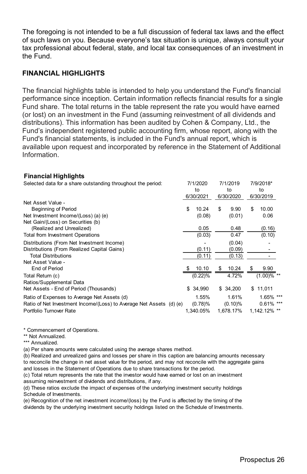The foregoing is not intended to be a full discussion of federal tax laws and the effect of such laws on you. Because everyone's tax situation is unique, always consult your tax professional about federal, state, and local tax consequences of an investment in the Fund.

#### <span id="page-27-0"></span>**FINANCIAL HIGHLIGHTS**

The financial highlights table is intended to help you understand the Fund's financial performance since inception. Certain information reflects financial results for a single Fund share. The total returns in the table represent the rate you would have earned (or lost) on an investment in the Fund (assuming reinvestment of all dividends and distributions). This information has been audited by Cohen & Company, Ltd., the Fund's independent registered public accounting firm, whose report, along with the Fund's financial statements, is included in the Fund's annual report, which is available upon request and incorporated by reference in the Statement of Additional Information.

#### **Financial Highlights**

| Selected data for a share outstanding throughout the period:        |    | 7/1/2020  |           | 7/1/2019   |           | 7/9/2018*     |  |
|---------------------------------------------------------------------|----|-----------|-----------|------------|-----------|---------------|--|
|                                                                     | to |           | to        |            | to        |               |  |
|                                                                     |    | 6/30/2021 | 6/30/2020 |            | 6/30/2019 |               |  |
| Net Asset Value -                                                   |    |           |           |            |           |               |  |
| <b>Beginning of Period</b>                                          | \$ | 10.24     | \$        | 9.90       | \$        | 10.00         |  |
| Net Investment Income/(Loss) (a) (e)                                |    | (0.08)    |           | (0.01)     |           | 0.06          |  |
| Net Gain/(Loss) on Securities (b)                                   |    |           |           |            |           |               |  |
| (Realized and Unrealized)                                           |    | 0.05      |           | 0.48       |           | (0.16)        |  |
| Total from Investment Operations                                    |    | (0.03)    |           | 0.47       |           | (0.10)        |  |
| Distributions (From Net Investment Income)                          |    |           |           | (0.04)     |           |               |  |
| Distributions (From Realized Capital Gains)                         |    | (0.11)    |           | (0.09)     |           |               |  |
| <b>Total Distributions</b>                                          |    | (0.11)    |           | (0.13)     |           |               |  |
| Net Asset Value -                                                   |    |           |           |            |           |               |  |
| End of Period                                                       |    | 10.10     | \$        | 10.24      |           | 9.90          |  |
| Total Return (c)                                                    |    | (0.22)%   |           | 4.72%      |           | $(1.00)$ % ** |  |
| Ratios/Supplemental Data                                            |    |           |           |            |           |               |  |
| Net Assets - End of Period (Thousands)                              |    | \$34,990  |           | \$34,200   |           | \$11,011      |  |
| Ratio of Expenses to Average Net Assets (d)                         |    | 1.55%     |           | 1.61%      |           | 1.65% ***     |  |
| Ratio of Net Investment Income/(Loss) to Average Net Assets (d) (e) |    | (0.78)%   |           | $(0.10)\%$ |           | $0.61\%$ ***  |  |
| Portfolio Turnover Rate                                             |    | 1,340.05% |           | 1,678.17%  |           | 1.142.12% **  |  |

\* Commencement of Operations.

\*\* Not Annualized.

\*\*\* Annualized.

(a) Per share amounts were calculated using the average shares method.

(b) Realized and unrealized gains and losses per share in this caption are balancing amounts necessary to reconcile the change in net asset value for the period, and may not reconcile with the aggregate gains and losses in the Statement of Operations due to share transactions for the period.

(c) Total return represents the rate that the investor would have earned or lost on an investment assuming reinvestment of dividends and distributions, if any.

Schedule of Investments. (d) These ratios exclude the impact of expenses of the underlying investment security holdings

(e) Recognition of the net investment income/(loss) by the Fund is affected by the timing of the dividends by the underlying investment security holdings listed on the Schedule of Investments.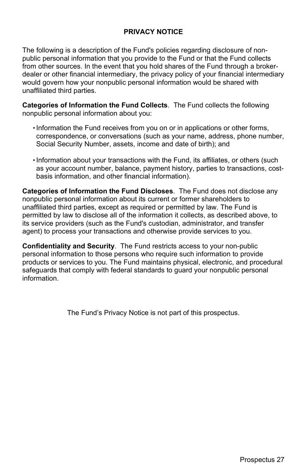# **PRIVACY NOTICE**

The following is a description of the Fund's policies regarding disclosure of nonpublic personal information that you provide to the Fund or that the Fund collects from other sources. In the event that you hold shares of the Fund through a brokerdealer or other financial intermediary, the privacy policy of your financial intermediary would govern how your nonpublic personal information would be shared with unaffiliated third parties.

**Categories of Information the Fund Collects**. The Fund collects the following nonpublic personal information about you:

- •Information the Fund receives from you on or in applications or other forms, correspondence, or conversations (such as your name, address, phone number, Social Security Number, assets, income and date of birth); and
- •Information about your transactions with the Fund, its affiliates, or others (such as your account number, balance, payment history, parties to transactions, costbasis information, and other financial information).

**Categories of Information the Fund Discloses**. The Fund does not disclose any nonpublic personal information about its current or former shareholders to unaffiliated third parties, except as required or permitted by law. The Fund is permitted by law to disclose all of the information it collects, as described above, to its service providers (such as the Fund's custodian, administrator, and transfer agent) to process your transactions and otherwise provide services to you.

**Confidentiality and Security**. The Fund restricts access to your non-public personal information to those persons who require such information to provide products or services to you. The Fund maintains physical, electronic, and procedural safeguards that comply with federal standards to guard your nonpublic personal information.

The Fund's Privacy Notice is not part of this prospectus.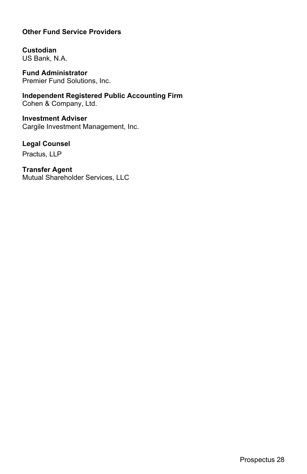# <span id="page-29-0"></span>**Other Fund Service Providers**

**Custodian**  US Bank, N.A.

**Fund Administrator** Premier Fund Solutions, Inc.

**Independent Registered Public Accounting Firm** Cohen & Company, Ltd.

**Investment Adviser** Cargile Investment Management, Inc.

**Legal Counsel**  Practus, LLP

**Transfer Agent** Mutual Shareholder Services, LLC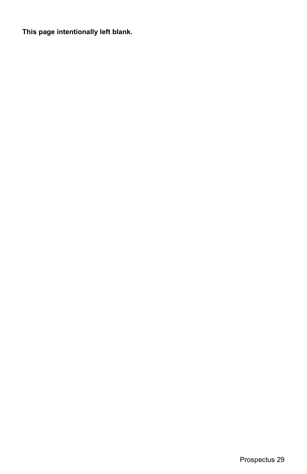**This page intentionally left blank.**